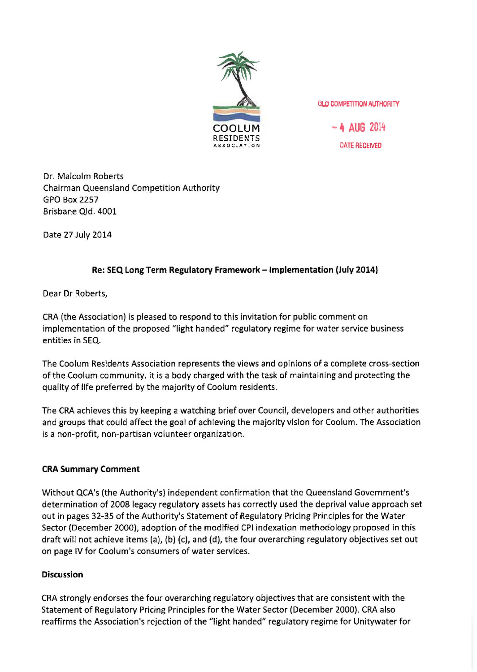

**OLD COMPETITION AUTHORITY** 

 $-4$  AUG 2014 DATE RECEIVED

Dr. Malcolm Roberts Chairman Queensland Competition Authority GPO Box 2257 Brisbane Qld. 4001

Date 27 July 2014

## Re: SEQ Long Term Regulatory Framework - Implementation (July 2014)

Dear Dr Roberts,

CRA (the Association) is pleased to respond to this invitation for public comment on implementation of the proposed "light handed" regulatory regime for water service business entities in SEQ.

The Coelum Residents Association represents the views and opinions of a complete cross-section of the Coelum community. It is a body charged with the task of maintaining and protecting the quality of life preferred by the majority of Coolum residents.

The CRA achieves this by keeping a watching brief over Council, developers and other authorities and groups that could affect the goal of achieving the majority vision for Coolum. The Association is a non-profit, non-partisan volunteer organization.

## CRA Summary Comment

Without QCA's (the Authority's) independent confirmation that the Queensland Government's determination of 2008 legacy regulatory assets has correctly used the deprival value approach set out in pages 32-35 of the Authority's Statement of Regulatory Pricing Principles for the Water Sector (December 2000), adoption of the modified CPI indexation methodology proposed in this draft will not achieve items (a), (b) (c), and (d), the four overarching regulatory objectives set out on page IV for Coolum's consumers of water services.

## **Discussion**

CRA strongly endorses the four overarching regulatory objectives that are consistent with the Statement of Regulatory Pricing Principles for the Water Sector (December 2000). CRA also reaffirms the Association's rejection of the "light handed" regulatory regime for Unitywater for